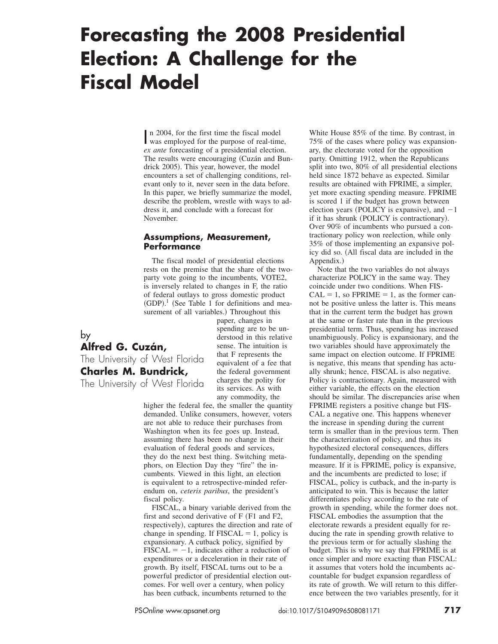# **Forecasting the 2008 Presidential Election: A Challenge for the Fiscal Model**

n 2004, for the first time the fiscal model<br>was employed for the purpose of real-tim was employed for the purpose of real-time, *ex ante* forecasting of a presidential election. The results were encouraging (Cuzán and Bundrick 2005). This year, however, the model encounters a set of challenging conditions, relevant only to it, never seen in the data before. In this paper, we briefly summarize the model, describe the problem, wrestle with ways to address it, and conclude with a forecast for November.

#### **Assumptions, Measurement, Performance**

The fiscal model of presidential elections rests on the premise that the share of the twoparty vote going to the incumbents, VOTE2, is inversely related to changes in F, the ratio of federal outlays to gross domestic product  $(GDP).<sup>1</sup>$  (See Table 1 for definitions and measurement of all variables.) Throughout this

# by **Alfred G. Cuzán,** The University of West Florida **Charles M. Bundrick,** The University of West Florida

paper, changes in spending are to be understood in this relative sense. The intuition is that F represents the equivalent of a fee that the federal government charges the polity for its services. As with any commodity, the

higher the federal fee, the smaller the quantity demanded. Unlike consumers, however, voters are not able to reduce their purchases from Washington when its fee goes up. Instead, assuming there has been no change in their evaluation of federal goods and services, they do the next best thing. Switching metaphors, on Election Day they "fire" the incumbents. Viewed in this light, an election is equivalent to a retrospective-minded referendum on, *ceteris paribus*, the president's fiscal policy.

FISCAL, a binary variable derived from the first and second derivative of  $F$   $(F1$  and  $F2$ , respectively), captures the direction and rate of change in spending. If  $FISCAL = 1$ , policy is expansionary. A cutback policy, signified by  $FISCAL = -1$ , indicates either a reduction of expenditures or a deceleration in their rate of growth. By itself, FISCAL turns out to be a powerful predictor of presidential election outcomes. For well over a century, when policy has been cutback, incumbents returned to the

White House 85% of the time. By contrast, in 75% of the cases where policy was expansionary, the electorate voted for the opposition party. Omitting 1912, when the Republicans split into two, 80% of all presidential elections held since 1872 behave as expected. Similar results are obtained with FPRIME, a simpler, yet more exacting spending measure. FPRIME is scored 1 if the budget has grown between election years (POLICY is expansive), and  $-1$ if it has shrunk (POLICY is contractionary). Over 90% of incumbents who pursued a contractionary policy won reelection, while only 35% of those implementing an expansive policy did so. (All fiscal data are included in the Appendix.)

Note that the two variables do not always characterize POLICY in the same way. They coincide under two conditions. When FIS- $CAL = 1$ , so  $FPRIME = 1$ , as the former cannot be positive unless the latter is. This means that in the current term the budget has grown at the same or faster rate than in the previous presidential term. Thus, spending has increased unambiguously. Policy is expansionary, and the two variables should have approximately the same impact on election outcome. If FPRIME is negative, this means that spending has actually shrunk; hence, FISCAL is also negative. Policy is contractionary. Again, measured with either variable, the effects on the election should be similar. The discrepancies arise when FPRIME registers a positive change but FIS-CAL a negative one. This happens whenever the increase in spending during the current term is smaller than in the previous term. Then the characterization of policy, and thus its hypothesized electoral consequences, differs fundamentally, depending on the spending measure. If it is FPRIME, policy is expansive, and the incumbents are predicted to lose; if FISCAL, policy is cutback, and the in-party is anticipated to win. This is because the latter differentiates policy according to the rate of growth in spending, while the former does not. FISCAL embodies the assumption that the electorate rewards a president equally for reducing the rate in spending growth relative to the previous term or for actually slashing the budget. This is why we say that FPRIME is at once simpler and more exacting than FISCAL: it assumes that voters hold the incumbents accountable for budget expansion regardless of its rate of growth. We will return to this difference between the two variables presently, for it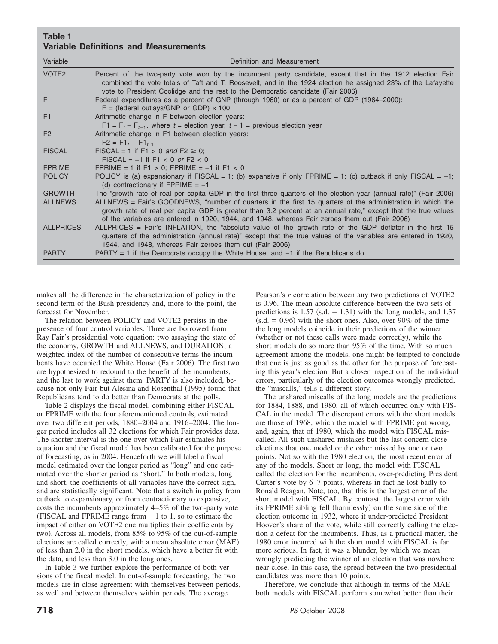#### **Table 1 Variable Definitions and Measurements**

| Variable          | Definition and Measurement                                                                                                                                                                                                                                                                                                     |
|-------------------|--------------------------------------------------------------------------------------------------------------------------------------------------------------------------------------------------------------------------------------------------------------------------------------------------------------------------------|
| VOTE <sub>2</sub> | Percent of the two-party vote won by the incumbent party candidate, except that in the 1912 election Fair<br>combined the vote totals of Taft and T. Roosevelt, and in the 1924 election he assigned 23% of the Lafayette<br>vote to President Coolidge and the rest to the Democratic candidate (Fair 2006)                   |
| F                 | Federal expenditures as a percent of GNP (through 1960) or as a percent of GDP (1964–2000):<br>$F = (federal outlayers/GNP or GDP) \times 100$                                                                                                                                                                                 |
| F1                | Arithmetic change in F between election years:                                                                                                                                                                                                                                                                                 |
|                   | $F1 = Ft - Ft-1$ , where $t =$ election year, $t - 1 =$ previous election year                                                                                                                                                                                                                                                 |
| F <sub>2</sub>    | Arithmetic change in F1 between election years:<br>$F2 = F1, -F1,$                                                                                                                                                                                                                                                             |
| <b>FISCAL</b>     | FISCAL = 1 if F1 > 0 and F2 $\geq$ 0;<br>$FISCAL = -1$ if $F1 < 0$ or $F2 < 0$                                                                                                                                                                                                                                                 |
| <b>FPRIME</b>     | FPRIME = 1 if F1 > 0; FPRIME = $-1$ if F1 < 0                                                                                                                                                                                                                                                                                  |
| <b>POLICY</b>     | POLICY is (a) expansionary if FISCAL = 1; (b) expansive if only FPRIME = 1; (c) cutback if only FISCAL = -1;<br>(d) contractionary if FPRIME = $-1$                                                                                                                                                                            |
| <b>GROWTH</b>     | The "growth rate of real per capita GDP in the first three quarters of the election year (annual rate)" (Fair 2006)                                                                                                                                                                                                            |
| <b>ALLNEWS</b>    | ALLNEWS = Fair's GOODNEWS, "number of quarters in the first 15 quarters of the administration in which the<br>growth rate of real per capita GDP is greater than 3.2 percent at an annual rate," except that the true values<br>of the variables are entered in 1920, 1944, and 1948, whereas Fair zeroes them out (Fair 2006) |
| <b>ALLPRICES</b>  | ALLPRICES = Fair's INFLATION, the "absolute value of the growth rate of the GDP deflator in the first 15<br>quarters of the administration (annual rate)" except that the true values of the variables are entered in 1920,<br>1944, and 1948, whereas Fair zeroes them out (Fair 2006)                                        |
| <b>PARTY</b>      | PARTY = 1 if the Democrats occupy the White House, and $-1$ if the Republicans do                                                                                                                                                                                                                                              |

makes all the difference in the characterization of policy in the second term of the Bush presidency and, more to the point, the forecast for November.

The relation between POLICY and VOTE2 persists in the presence of four control variables. Three are borrowed from Ray Fair's presidential vote equation: two assaying the state of the economy, GROWTH and ALLNEWS, and DURATION, a weighted index of the number of consecutive terms the incumbents have occupied the White House (Fair 2006). The first two are hypothesized to redound to the benefit of the incumbents, and the last to work against them. PARTY is also included, because not only Fair but Alesina and Rosenthal (1995) found that Republicans tend to do better than Democrats at the polls.

Table 2 displays the fiscal model, combining either FISCAL or FPRIME with the four aforementioned controls, estimated over two different periods, 1880–2004 and 1916–2004. The longer period includes all 32 elections for which Fair provides data. The shorter interval is the one over which Fair estimates his equation and the fiscal model has been calibrated for the purpose of forecasting, as in 2004. Henceforth we will label a fiscal model estimated over the longer period as "long" and one estimated over the shorter period as "short." In both models, long and short, the coefficients of all variables have the correct sign, and are statistically significant. Note that a switch in policy from cutback to expansionary, or from contractionary to expansive, costs the incumbents approximately 4–5% of the two-party vote (FISCAL and FPRIME range from  $-1$  to 1, so to estimate the impact of either on VOTE2 one multiplies their coefficients by two). Across all models, from 85% to 95% of the out-of-sample elections are called correctly, with a mean absolute error  $(MAE)$ of less than 2.0 in the short models, which have a better fit with the data, and less than 3.0 in the long ones.

In Table 3 we further explore the performance of both versions of the fiscal model. In out-of-sample forecasting, the two models are in close agreement with themselves between periods, as well and between themselves within periods. The average

Pearson's *r* correlation between any two predictions of VOTE2 is 0.96. The mean absolute difference between the two sets of predictions is  $1.57$  (s.d.  $= 1.31$ ) with the long models, and 1.37  $(s.d. = 0.96)$  with the short ones. Also, over 90% of the time the long models coincide in their predictions of the winner  $w$  (whether or not these calls were made correctly), while the short models do so more than 95% of the time. With so much agreement among the models, one might be tempted to conclude that one is just as good as the other for the purpose of forecasting this year's election. But a closer inspection of the individual errors, particularly of the election outcomes wrongly predicted, the "miscalls," tells a different story.

The unshared miscalls of the long models are the predictions for 1884, 1888, and 1980, all of which occurred only with FIS-CAL in the model. The discrepant errors with the short models are those of 1968, which the model with FPRIME got wrong, and, again, that of 1980, which the model with FISCAL miscalled. All such unshared mistakes but the last concern close elections that one model or the other missed by one or two points. Not so with the 1980 election, the most recent error of any of the models. Short or long, the model with FISCAL called the election for the incumbents, over-predicting President Carter's vote by 6–7 points, whereas in fact he lost badly to Ronald Reagan. Note, too, that this is the largest error of the short model with FISCAL. By contrast, the largest error with its FPRIME sibling fell (harmlessly) on the same side of the election outcome in 1932, where it under-predicted President Hoover's share of the vote, while still correctly calling the election a defeat for the incumbents. Thus, as a practical matter, the 1980 error incurred with the short model with FISCAL is far more serious. In fact, it was a blunder, by which we mean wrongly predicting the winner of an election that was nowhere near close. In this case, the spread between the two presidential candidates was more than 10 points.

Therefore, we conclude that although in terms of the MAE both models with FISCAL perform somewhat better than their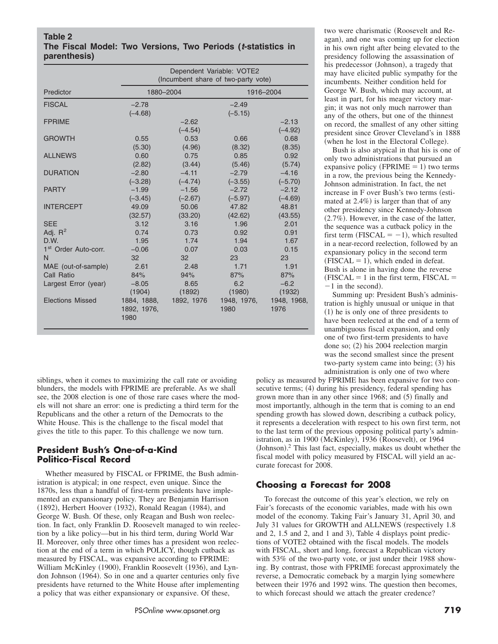#### **Table 2 The Fiscal Model: Two Versions, Two Periods (***t***-statistics in parenthesis)**

|                                  |                     | Dependent Variable: VOTE2<br>(Incumbent share of two-party vote) |                |                   |  |
|----------------------------------|---------------------|------------------------------------------------------------------|----------------|-------------------|--|
| Predictor                        | 1880-2004           |                                                                  |                | 1916-2004         |  |
| <b>FISCAL</b>                    | $-2.78$             |                                                                  | $-2.49$        |                   |  |
|                                  | $(-4.68)$           |                                                                  | $(-5.15)$      |                   |  |
| <b>FPRIME</b>                    |                     | $-2.62$                                                          |                | $-2.13$           |  |
| <b>GROWTH</b>                    | 0.55                | $(-4.54)$                                                        | 0.66           | $(-4.92)$<br>0.68 |  |
|                                  | (5.30)              | 0.53<br>(4.96)                                                   |                | (8.35)            |  |
| <b>ALLNEWS</b>                   | 0.60                | 0.75                                                             | (8.32)<br>0.85 | 0.92              |  |
|                                  | (2.82)              | (3.44)                                                           | (5.46)         | (5.74)            |  |
| <b>DURATION</b>                  | $-2.80$             | $-4.11$                                                          | $-2.79$        | $-4.16$           |  |
|                                  | $(-3.28)$           | $(-4.74)$                                                        | $(-3.55)$      | $(-5.70)$         |  |
| <b>PARTY</b>                     | $-1.99$             | $-1.56$                                                          | $-2.72$        | $-2.12$           |  |
|                                  | $(-3.45)$           | $(-2.67)$                                                        | $(-5.97)$      | $(-4.69)$         |  |
| <b>INTERCEPT</b>                 | 49.09               | 50.06                                                            | 47.82          | 48.81             |  |
|                                  | (32.57)             | (33.20)                                                          | (42.62)        | (43.55)           |  |
| <b>SEE</b>                       | 3.12                | 3.16                                                             | 1.96           | 2.01              |  |
| Adj. $R^2$                       | 0.74                | 0.73                                                             | 0.92           | 0.91              |  |
| D.W.                             | 1.95                | 1.74                                                             | 1.94           | 1.67              |  |
| 1 <sup>st</sup> Order Auto-corr. | $-0.06$             | 0.07                                                             | 0.03           | 0.15              |  |
| N                                | 32                  | 32                                                               | 23             | 23                |  |
| MAE (out-of-sample)              | 2.61                | 2.48                                                             | 1.71           | 1.91              |  |
| Call Ratio                       | 84%                 | 94%                                                              | 87%            | 87%               |  |
| Largest Error (year)             | $-8.05$             | 8.65                                                             | 6.2            | $-6.2$            |  |
|                                  | (1904)              | (1892)                                                           | (1980)         | (1932)            |  |
| <b>Elections Missed</b>          | 1884, 1888,         | 1892, 1976                                                       | 1948, 1976,    | 1948, 1968,       |  |
|                                  | 1892, 1976,<br>1980 |                                                                  | 1980           | 1976              |  |

siblings, when it comes to maximizing the call rate or avoiding blunders, the models with FPRIME are preferable. As we shall see, the 2008 election is one of those rare cases where the models will not share an error: one is predicting a third term for the Republicans and the other a return of the Democrats to the White House. This is the challenge to the fiscal model that gives the title to this paper. To this challenge we now turn.

## **President Bush's One-of-a-Kind Politico-Fiscal Record**

Whether measured by FISCAL or FPRIME, the Bush administration is atypical; in one respect, even unique. Since the 1870s, less than a handful of first-term presidents have implemented an expansionary policy. They are Benjamin Harrison  $(1892)$ , Herbert Hoover  $(1932)$ , Ronald Reagan  $(1984)$ , and George W. Bush. Of these, only Reagan and Bush won reelection. In fact, only Franklin D. Roosevelt managed to win reelection by a like policy—but in his third term, during World War II. Moreover, only three other times has a president won reelection at the end of a term in which POLICY, though cutback as measured by FISCAL, was expansive according to FPRIME: William McKinley (1900), Franklin Roosevelt (1936), and Lyndon Johnson (1964). So in one and a quarter centuries only five presidents have returned to the White House after implementing a policy that was either expansionary or expansive. Of these,

two were charismatic (Roosevelt and Reagan), and one was coming up for election in his own right after being elevated to the presidency following the assassination of his predecessor (Johnson), a tragedy that may have elicited public sympathy for the incumbents. Neither condition held for George W. Bush, which may account, at least in part, for his meager victory margin; it was not only much narrower than any of the others, but one of the thinnest on record, the smallest of any other sitting president since Grover Cleveland's in 1888 (when he lost in the Electoral College).

Bush is also atypical in that his is one of only two administrations that pursued an expansive policy ( $FPRIME = 1$ ) two terms in a row, the previous being the Kennedy-Johnson administration. In fact, the net increase in F over Bush's two terms (estimated at  $2.4\%$ ) is larger than that of any other presidency since Kennedy-Johnson  $(2.7\%)$ . However, in the case of the latter, the sequence was a cutback policy in the first term ( $FISCAL = -1$ ), which resulted in a near-record reelection, followed by an expansionary policy in the second term  $(FISCAL = 1)$ , which ended in defeat. Bush is alone in having done the reverse  $(FISCAL = 1$  in the first term,  $FISCAL =$  $-1$  in the second).

Summing up: President Bush's administration is highly unusual or unique in that  $(1)$  he is only one of three presidents to have been reelected at the end of a term of unambiguous fiscal expansion, and only one of two first-term presidents to have done so;  $(2)$  his 2004 reelection margin was the second smallest since the present two-party system came into being;  $(3)$  his administration is only one of two where

policy as measured by FPRIME has been expansive for two consecutive terms; (4) during his presidency, federal spending has grown more than in any other since  $1968$ ; and  $(5)$  finally and most importantly, although in the term that is coming to an end spending growth has slowed down, describing a cutback policy, it represents a deceleration with respect to his own first term, not to the last term of the previous opposing political party's administration, as in  $1900$  (McKinley),  $1936$  (Roosevelt), or  $1964$ (Johnson).<sup>2</sup> This last fact, especially, makes us doubt whether the fiscal model with policy measured by FISCAL will yield an accurate forecast for 2008.

## **Choosing a Forecast for 2008**

To forecast the outcome of this year's election, we rely on Fair's forecasts of the economic variables, made with his own model of the economy. Taking Fair's January 31, April 30, and July 31 values for GROWTH and ALLNEWS (respectively 1.8) and 2, 1.5 and 2, and 1 and 3), Table 4 displays point predictions of VOTE2 obtained with the fiscal models. The models with FISCAL, short and long, forecast a Republican victory with 53% of the two-party vote, or just under their 1988 showing. By contrast, those with FPRIME forecast approximately the reverse, a Democratic comeback by a margin lying somewhere between their 1976 and 1992 wins. The question then becomes, to which forecast should we attach the greater credence?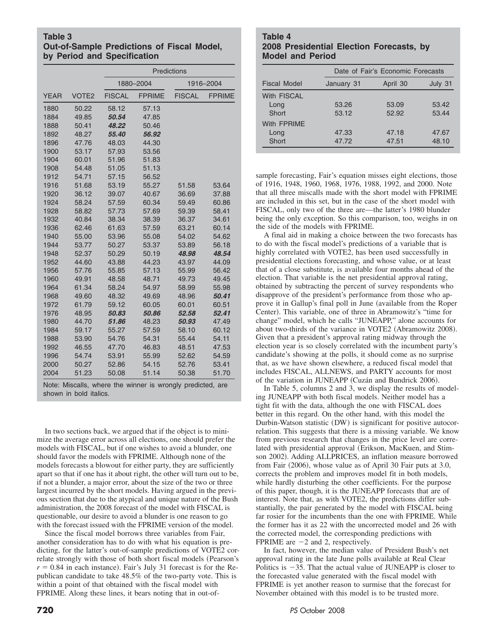#### **Table 3 Out-of-Sample Predictions of Fiscal Model, by Period and Specification**

|             |                   | Predictions   |               |               |               |
|-------------|-------------------|---------------|---------------|---------------|---------------|
|             |                   |               | 1880-2004     |               | 1916-2004     |
| <b>YEAR</b> | VOTE <sub>2</sub> | <b>FISCAL</b> | <b>FPRIME</b> | <b>FISCAL</b> | <b>FPRIME</b> |
| 1880        | 50.22             | 58.12         | 57.13         |               |               |
| 1884        | 49.85             | 50.54         | 47.85         |               |               |
| 1888        | 50.41             | 48.22         | 50.46         |               |               |
| 1892        | 48.27             | 55.40         | 56.92         |               |               |
| 1896        | 47.76             | 48.03         | 44.30         |               |               |
| 1900        | 53.17             | 57.93         | 53.56         |               |               |
| 1904        | 60.01             | 51.96         | 51.83         |               |               |
| 1908        | 54.48             | 51.05         | 51.13         |               |               |
| 1912        | 54.71             | 57.15         | 56.52         |               |               |
| 1916        | 51.68             | 53.19         | 55.27         | 51.58         | 53.64         |
| 1920        | 36.12             | 39.07         | 40.67         | 36.69         | 37.88         |
| 1924        | 58.24             | 57.59         | 60.34         | 59.49         | 60.86         |
| 1928        | 58.82             | 57.73         | 57.69         | 59.39         | 58.41         |
| 1932        | 40.84             | 38.34         | 38.39         | 36.37         | 34.61         |
| 1936        | 62.46             | 61.63         | 57.59         | 63.21         | 60.14         |
| 1940        | 55.00             | 53.96         | 55.08         | 54.02         | 54.62         |
| 1944        | 53.77             | 50.27         | 53.37         | 53.89         | 56.18         |
| 1948        | 52.37             | 50.29         | 50.19         | 48.98         | 48.54         |
| 1952        | 44.60             | 43.88         | 44.23         | 43.97         | 44.09         |
| 1956        | 57.76             | 55.85         | 57.13         | 55.99         | 56.42         |
| 1960        | 49.91             | 48.58         | 48.71         | 49.73         | 49.45         |
| 1964        | 61.34             | 58.24         | 54.97         | 58.99         | 55.98         |
| 1968        | 49.60             | 48.32         | 49.69         | 48.96         | 50.41         |
| 1972        | 61.79             | 59.12         | 60.05         | 60.01         | 60.51         |
| 1976        | 48.95             | 50.83         | 50.86         | 52.58         | 52.41         |
| 1980        | 44.70             | 51.86         | 48.23         | 50.93         | 47.49         |
| 1984        | 59.17             | 55.27         | 57.59         | 58.10         | 60.12         |
| 1988        | 53.90             | 54.76         | 54.31         | 55.44         | 54.11         |
| 1992        | 46.55             | 47.70         | 46.83         | 48.51         | 47.53         |
| 1996        | 54.74             | 53.91         | 55.99         | 52.62         | 54.59         |
| 2000        | 50.27             | 52.86         | 54.15         | 52.76         | 53.41         |
| 2004        | 51.23             | 50.08         | 51.14         | 50.38         | 51.70         |

Note: Miscalls, where the winner is wrongly predicted, are shown in bold italics.

In two sections back, we argued that if the object is to minimize the average error across all elections, one should prefer the models with FISCAL, but if one wishes to avoid a blunder, one should favor the models with FPRIME. Although none of the models forecasts a blowout for either party, they are sufficiently apart so that if one has it about right, the other will turn out to be, if not a blunder, a major error, about the size of the two or three largest incurred by the short models. Having argued in the previous section that due to the atypical and unique nature of the Bush administration, the 2008 forecast of the model with FISCAL is questionable, our desire to avoid a blunder is one reason to go with the forecast issued with the FPRIME version of the model.

Since the fiscal model borrows three variables from Fair, another consideration has to do with what his equation is predicting, for the latter's out-of-sample predictions of VOTE2 correlate strongly with those of both short fiscal models (Pearson's  $r = 0.84$  in each instance). Fair's July 31 forecast is for the Republican candidate to take 48.5% of the two-party vote. This is within a point of that obtained with the fiscal model with FPRIME. Along these lines, it bears noting that in out-of-

### **Table 4 2008 Presidential Election Forecasts, by Model and Period**

|                                     |                | Date of Fair's Economic Forecasts |                |  |  |
|-------------------------------------|----------------|-----------------------------------|----------------|--|--|
| Fiscal Model                        | January 31     | April 30                          | July 31        |  |  |
| <b>With FISCAL</b><br>Long<br>Short | 53.26<br>53.12 | 53.09<br>52.92                    | 53.42<br>53.44 |  |  |
| With FPRIMF<br>Long<br>Short        | 47.33<br>47.72 | 47.18<br>47.51                    | 47.67<br>48.10 |  |  |

sample forecasting, Fair's equation misses eight elections, those of 1916, 1948, 1960, 1968, 1976, 1988, 1992, and 2000. Note that all three miscalls made with the short model with FPRIME are included in this set, but in the case of the short model with FISCAL, only two of the three are—the latter's 1980 blunder being the only exception. So this comparison, too, weighs in on the side of the models with FPRIME.

A final aid in making a choice between the two forecasts has to do with the fiscal model's predictions of a variable that is highly correlated with VOTE2, has been used successfully in presidential elections forecasting, and whose value, or at least that of a close substitute, is available four months ahead of the election. That variable is the net presidential approval rating, obtained by subtracting the percent of survey respondents who disapprove of the president's performance from those who approve it in Gallup's final poll in June (available from the Roper Center). This variable, one of three in Abramowitz's "time for change" model, which he calls "JUNEAPP," alone accounts for about two-thirds of the variance in VOTE2 (Abramowitz 2008). Given that a president's approval rating midway through the election year is so closely correlated with the incumbent party's candidate's showing at the polls, it should come as no surprise that, as we have shown elsewhere, a reduced fiscal model that includes FISCAL, ALLNEWS, and PARTY accounts for most of the variation in JUNEAPP (Cuzán and Bundrick 2006).

In Table 5, columns 2 and 3, we display the results of modeling JUNEAPP with both fiscal models. Neither model has a tight fit with the data, although the one with FISCAL does better in this regard. On the other hand, with this model the Durbin-Watson statistic (DW) is significant for positive autocorrelation. This suggests that there is a missing variable. We know from previous research that changes in the price level are correlated with presidential approval (Erikson, MacKuen, and Stimson 2002). Adding ALLPRICES, an inflation measure borrowed from Fair  $(2006)$ , whose value as of April 30 Fair puts at 3.0, corrects the problem and improves model fit in both models, while hardly disturbing the other coefficients. For the purpose of this paper, though, it is the JUNEAPP forecasts that are of interest. Note that, as with VOTE2, the predictions differ substantially, the pair generated by the model with FISCAL being far rosier for the incumbents than the one with FPRIME. While the former has it as 22 with the uncorrected model and 26 with the corrected model, the corresponding predictions with FPRIME are  $-2$  and 2, respectively.

In fact, however, the median value of President Bush's net approval rating in the late June polls available at Real Clear Politics is  $-35$ . That the actual value of JUNEAPP is closer to the forecasted value generated with the fiscal model with FPRIME is yet another reason to surmise that the forecast for November obtained with this model is to be trusted more.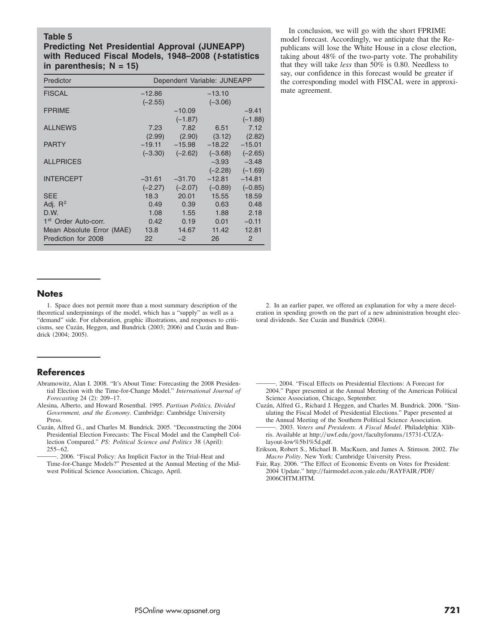#### **Table 5**

### **Predicting Net Presidential Approval (JUNEAPP) with Reduced Fiscal Models, 1948–2008 (***t***-statistics in parenthesis; N = 15)**

| Predictor                        | Dependent Variable: JUNEAPP |           |           |           |
|----------------------------------|-----------------------------|-----------|-----------|-----------|
| <b>FISCAL</b>                    | $-12.86$                    |           | $-13.10$  |           |
|                                  | $(-2.55)$                   |           | $(-3.06)$ |           |
| <b>FPRIME</b>                    |                             | $-10.09$  |           | $-9.41$   |
|                                  |                             | $(-1.87)$ |           | $(-1.88)$ |
| <b>ALLNEWS</b>                   | 7.23                        | 7.82      | 6.51      | 7.12      |
|                                  | (2.99)                      | (2.90)    | (3.12)    | (2.82)    |
| <b>PARTY</b>                     | $-19.11$                    | $-15.98$  | $-18.22$  | $-15.01$  |
|                                  | $(-3.30)$                   | $(-2.62)$ | $(-3.68)$ | $(-2.65)$ |
| <b>ALLPRICES</b>                 |                             |           | $-3.93$   | $-3.48$   |
|                                  |                             |           | $(-2.28)$ | $(-1.69)$ |
| <b>INTERCEPT</b>                 | $-31.61$                    | $-31.70$  | $-12.81$  | $-14.81$  |
|                                  | $(-2.27)$                   | $(-2.07)$ | $(-0.89)$ | $(-0.85)$ |
| <b>SEE</b>                       | 18.3                        | 20.01     | 15.55     | 18.59     |
| Adj. $R^2$                       | 0.49                        | 0.39      | 0.63      | 0.48      |
| D.W.                             | 1.08                        | 1.55      | 1.88      | 2.18      |
| 1 <sup>st</sup> Order Auto-corr. | 0.42                        | 0.19      | 0.01      | $-0.11$   |
| Mean Absolute Error (MAE)        | 13.8                        | 14.67     | 11.42     | 12.81     |
| Prediction for 2008              | 22                          | $-2$      | 26        | 2         |

In conclusion, we will go with the short FPRIME model forecast. Accordingly, we anticipate that the Republicans will lose the White House in a close election, taking about 48% of the two-party vote. The probability that they will take *less* than 50% is 0.80. Needless to say, our confidence in this forecast would be greater if the corresponding model with FISCAL were in approximate agreement.

#### **Notes**

1. Space does not permit more than a most summary description of the theoretical underpinnings of the model, which has a "supply" as well as a "demand" side. For elaboration, graphic illustrations, and responses to criticisms, see Cuzán, Heggen, and Bundrick (2003; 2006) and Cuzán and Bundrick (2004; 2005).

2. In an earlier paper, we offered an explanation for why a mere deceleration in spending growth on the part of a new administration brought electoral dividends. See Cuzán and Bundrick (2004).

#### **References**

- Abramowitz, Alan I. 2008. "It's About Time: Forecasting the 2008 Presidential Election with the Time-for-Change Model." *International Journal of Forecasting* 24 (2): 209-17.
- Alesina, Alberto, and Howard Rosenthal. 1995. *Partisan Politics, Divided Government, and the Economy*. Cambridge: Cambridge University Press.
- Cuzán, Alfred G., and Charles M. Bundrick. 2005. "Deconstructing the 2004 Cuzan, Alfred G., and Charles M. Bundrick. 2005. "Deconstructing the 2004<br>
Presidential Election Forecasts: The Fiscal Model and the Campbell Col-<br>
lection Compared." *PS: Political Science and Politics* 38 (April):<br>
255–6 lection Compared." *PS: Political Science and Politics* 38 (April):  $255 - 62.$

. 2006. "Fiscal Policy: An Implicit Factor in the Trial-Heat and Time-for-Change Models?" Presented at the Annual Meeting of the Midwest Political Science Association, Chicago, April.

\_. 2004. "Fiscal Effects on Presidential Elections: A Forecast for 2004." Paper presented at the Annual Meeting of the American Political Science Association, Chicago, September.

Science Association, Chicago, September.<br>Cuzán, Alfred G., Richard J. Heggen, and Charles M. Bundrick. 2006. "Sim-<br>ulating the Fiscal Model of Presidential Elections." Paper presented at<br>the Annual Meeting of the Southern ulating the Fiscal Model of Presidential Elections." Paper presented at the Annual Meeting of the Southern Political Science Association.

. 2003. *Voters and Presidents. A Fiscal Model*. Philadelphia: Xlibris. Available at http://uwf.edu/govt/facultyforums/15731-CUZAlayout-low%5b1%5d.pdf.

- Erikson, Robert S., Michael B. MacKuen, and James A. Stimson. 2002. *The Macro Polity*. New York: Cambridge University Press.
- Fair, Ray. 2006. "The Effect of Economic Events on Votes for President: 2004 Update." http://fairmodel.econ.yale.edu/RAYFAIR/PDF/ 2006CHTM.HTM.